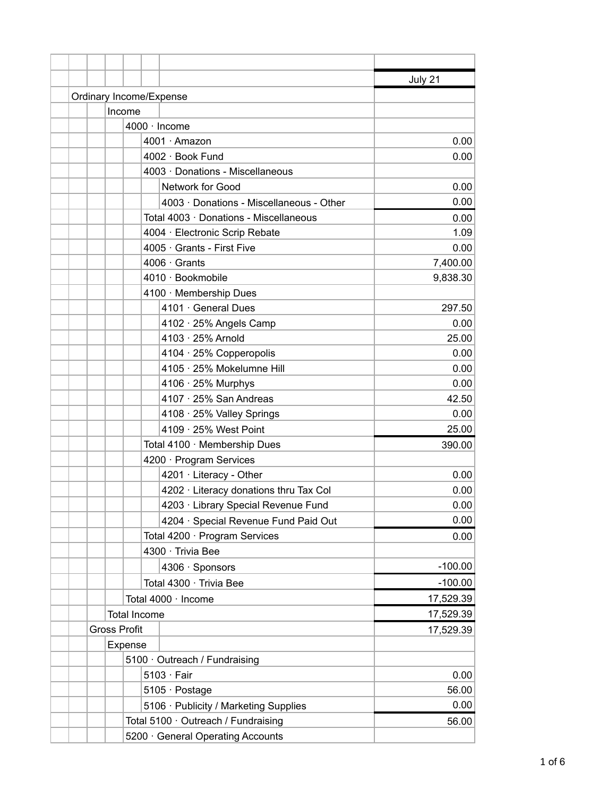|                                 |                               |                                          | July 21   |  |  |
|---------------------------------|-------------------------------|------------------------------------------|-----------|--|--|
| Ordinary Income/Expense         |                               |                                          |           |  |  |
|                                 | Income                        |                                          |           |  |  |
|                                 |                               | $4000 \cdot$ Income                      |           |  |  |
|                                 |                               | 4001 · Amazon                            | 0.00      |  |  |
|                                 |                               | 4002 · Book Fund                         | 0.00      |  |  |
|                                 |                               | 4003 · Donations - Miscellaneous         |           |  |  |
|                                 |                               | Network for Good                         | 0.00      |  |  |
|                                 |                               | 4003 · Donations - Miscellaneous - Other | 0.00      |  |  |
|                                 |                               | Total 4003 · Donations - Miscellaneous   | 0.00      |  |  |
|                                 |                               | 4004 · Electronic Scrip Rebate           | 1.09      |  |  |
|                                 |                               | 4005 · Grants - First Five               | 0.00      |  |  |
|                                 |                               | $4006 \cdot$ Grants                      | 7,400.00  |  |  |
|                                 |                               | 4010 · Bookmobile                        | 9,838.30  |  |  |
|                                 |                               | 4100 · Membership Dues                   |           |  |  |
|                                 |                               | 4101 · General Dues                      | 297.50    |  |  |
|                                 |                               | 4102 · 25% Angels Camp                   | 0.00      |  |  |
|                                 |                               | 4103 · 25% Arnold                        | 25.00     |  |  |
|                                 |                               | 4104 · 25% Copperopolis                  | 0.00      |  |  |
|                                 |                               | 4105 · 25% Mokelumne Hill                | 0.00      |  |  |
|                                 |                               | 4106 · 25% Murphys                       | 0.00      |  |  |
|                                 |                               | 4107 · 25% San Andreas                   | 42.50     |  |  |
|                                 |                               | 4108 · 25% Valley Springs                | 0.00      |  |  |
|                                 |                               | 4109 · 25% West Point                    | 25.00     |  |  |
|                                 |                               | Total 4100 · Membership Dues             | 390.00    |  |  |
|                                 |                               | 4200 · Program Services                  |           |  |  |
|                                 |                               | 4201 · Literacy - Other                  | 0.00      |  |  |
|                                 |                               | 4202 · Literacy donations thru Tax Col   | 0.00      |  |  |
|                                 |                               | 4203 · Library Special Revenue Fund      | 0.00      |  |  |
|                                 |                               | 4204 · Special Revenue Fund Paid Out     | 0.00      |  |  |
|                                 |                               | Total 4200 · Program Services            | 0.00      |  |  |
|                                 |                               | 4300 · Trivia Bee                        |           |  |  |
|                                 |                               | 4306 · Sponsors                          | $-100.00$ |  |  |
|                                 |                               | Total 4300 · Trivia Bee                  | $-100.00$ |  |  |
|                                 |                               | Total 4000 · Income                      | 17,529.39 |  |  |
|                                 |                               | <b>Total Income</b>                      | 17,529.39 |  |  |
| <b>Gross Profit</b>             |                               |                                          | 17,529.39 |  |  |
|                                 | Expense                       |                                          |           |  |  |
|                                 | 5100 · Outreach / Fundraising |                                          |           |  |  |
|                                 |                               | $5103 \cdot Fair$                        | 0.00      |  |  |
|                                 |                               | 5105 · Postage                           | 56.00     |  |  |
|                                 |                               | 5106 · Publicity / Marketing Supplies    | 0.00      |  |  |
|                                 |                               | Total 5100 · Outreach / Fundraising      | 56.00     |  |  |
| 5200 General Operating Accounts |                               |                                          |           |  |  |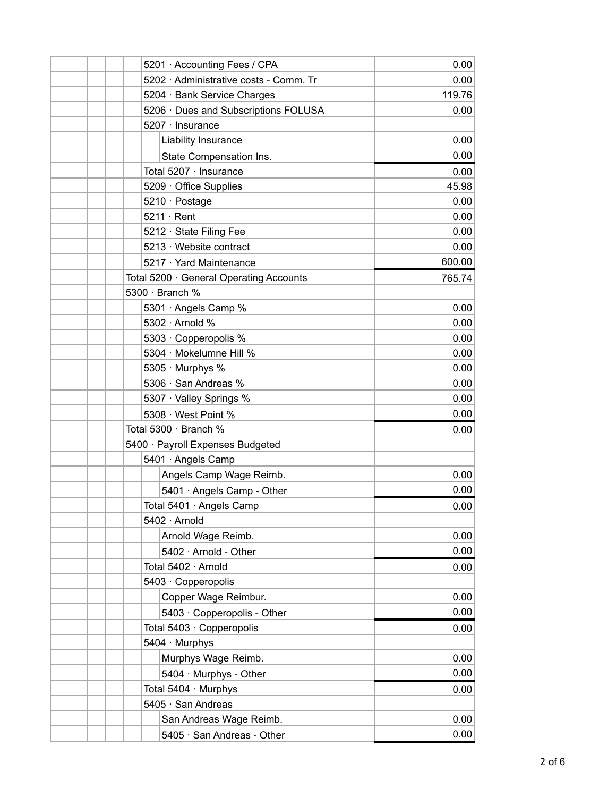|  | 5201 · Accounting Fees / CPA            | 0.00   |
|--|-----------------------------------------|--------|
|  | 5202 · Administrative costs - Comm. Tr  | 0.00   |
|  | 5204 · Bank Service Charges             | 119.76 |
|  | 5206 · Dues and Subscriptions FOLUSA    | 0.00   |
|  | 5207 · Insurance                        |        |
|  | Liability Insurance                     | 0.00   |
|  | State Compensation Ins.                 | 0.00   |
|  | Total 5207 · Insurance                  | 0.00   |
|  | 5209 · Office Supplies                  | 45.98  |
|  | 5210 · Postage                          | 0.00   |
|  | $5211 \cdot$ Rent                       | 0.00   |
|  | 5212 · State Filing Fee                 | 0.00   |
|  | 5213 · Website contract                 | 0.00   |
|  | 5217 · Yard Maintenance                 | 600.00 |
|  | Total 5200 · General Operating Accounts | 765.74 |
|  | 5300 · Branch %                         |        |
|  | 5301 · Angels Camp %                    | 0.00   |
|  | 5302 · Arnold %                         | 0.00   |
|  | 5303 · Copperopolis %                   | 0.00   |
|  | 5304 · Mokelumne Hill %                 | 0.00   |
|  | 5305 · Murphys %                        | 0.00   |
|  | 5306 · San Andreas %                    | 0.00   |
|  | 5307 · Valley Springs %                 | 0.00   |
|  | 5308 · West Point %                     | 0.00   |
|  | Total 5300 · Branch %                   | 0.00   |
|  | 5400 · Payroll Expenses Budgeted        |        |
|  | 5401 · Angels Camp                      |        |
|  | Angels Camp Wage Reimb.                 | 0.00   |
|  | 5401 · Angels Camp - Other              | 0.00   |
|  | Total 5401 · Angels Camp                | 0.00   |
|  | 5402 · Arnold                           |        |
|  | Arnold Wage Reimb.                      | 0.00   |
|  | 5402 · Arnold - Other                   | 0.00   |
|  | Total 5402 · Arnold                     | 0.00   |
|  | 5403 · Copperopolis                     |        |
|  | Copper Wage Reimbur.                    | 0.00   |
|  | 5403 · Copperopolis - Other             | 0.00   |
|  | Total 5403 · Copperopolis               | 0.00   |
|  | 5404 · Murphys                          |        |
|  | Murphys Wage Reimb.                     | 0.00   |
|  | 5404 · Murphys - Other                  | 0.00   |
|  | Total 5404 · Murphys                    | 0.00   |
|  | 5405 · San Andreas                      |        |
|  | San Andreas Wage Reimb.                 | 0.00   |
|  | 5405 · San Andreas - Other              | 0.00   |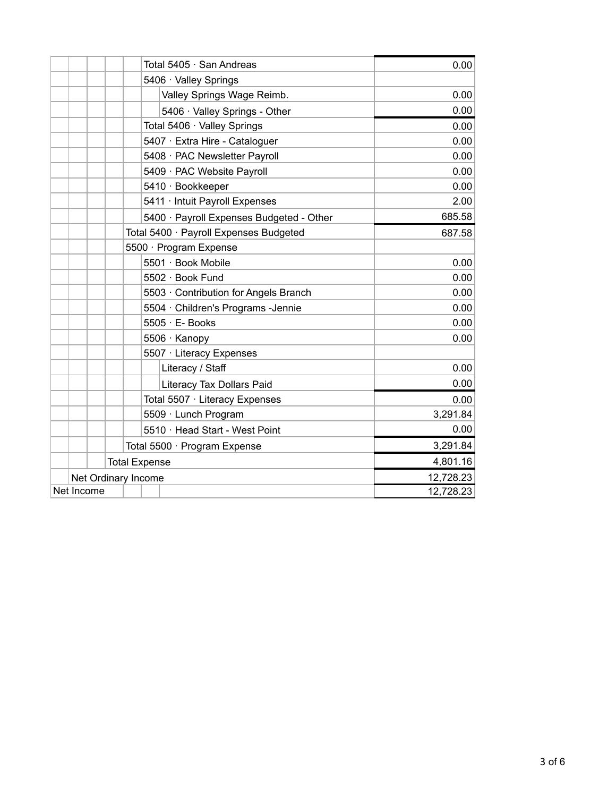|            | Total 5405 · San Andreas                 |                        |                  | 0.00                                |          |
|------------|------------------------------------------|------------------------|------------------|-------------------------------------|----------|
|            |                                          |                        |                  | 5406 · Valley Springs               |          |
|            |                                          |                        |                  | Valley Springs Wage Reimb.          | 0.00     |
|            |                                          |                        |                  | 5406 · Valley Springs - Other       | 0.00     |
|            |                                          |                        |                  | Total 5406 · Valley Springs         | 0.00     |
|            |                                          |                        |                  | 5407 · Extra Hire - Cataloguer      | 0.00     |
|            |                                          |                        |                  | 5408 · PAC Newsletter Payroll       | 0.00     |
|            |                                          |                        |                  | 5409 · PAC Website Payroll          | 0.00     |
|            |                                          |                        |                  | 5410 · Bookkeeper                   | 0.00     |
|            | 5411 · Intuit Payroll Expenses           |                        |                  |                                     | 2.00     |
|            | 5400 · Payroll Expenses Budgeted - Other |                        |                  |                                     | 685.58   |
|            | Total 5400 · Payroll Expenses Budgeted   |                        |                  |                                     | 687.58   |
|            |                                          | 5500 · Program Expense |                  |                                     |          |
|            |                                          |                        |                  | 5501 · Book Mobile                  | 0.00     |
|            |                                          |                        |                  | 5502 · Book Fund                    | 0.00     |
|            |                                          |                        |                  | 5503 Contribution for Angels Branch | 0.00     |
|            |                                          |                        |                  | 5504 · Children's Programs -Jennie  | 0.00     |
|            |                                          |                        |                  | $5505 \cdot E$ - Books              | 0.00     |
|            |                                          |                        |                  | 5506 · Kanopy                       | 0.00     |
|            |                                          |                        |                  | 5507 · Literacy Expenses            |          |
|            |                                          |                        | Literacy / Staff |                                     | 0.00     |
|            |                                          |                        |                  | Literacy Tax Dollars Paid           | 0.00     |
|            |                                          |                        |                  | Total 5507 · Literacy Expenses      | 0.00     |
|            |                                          |                        |                  | 5509 · Lunch Program                | 3,291.84 |
|            |                                          |                        |                  | 5510 · Head Start - West Point      | 0.00     |
|            |                                          |                        |                  | Total 5500 · Program Expense        | 3,291.84 |
|            | <b>Total Expense</b>                     |                        | 4,801.16         |                                     |          |
|            | Net Ordinary Income                      |                        | 12,728.23        |                                     |          |
| Net Income |                                          |                        |                  | 12,728.23                           |          |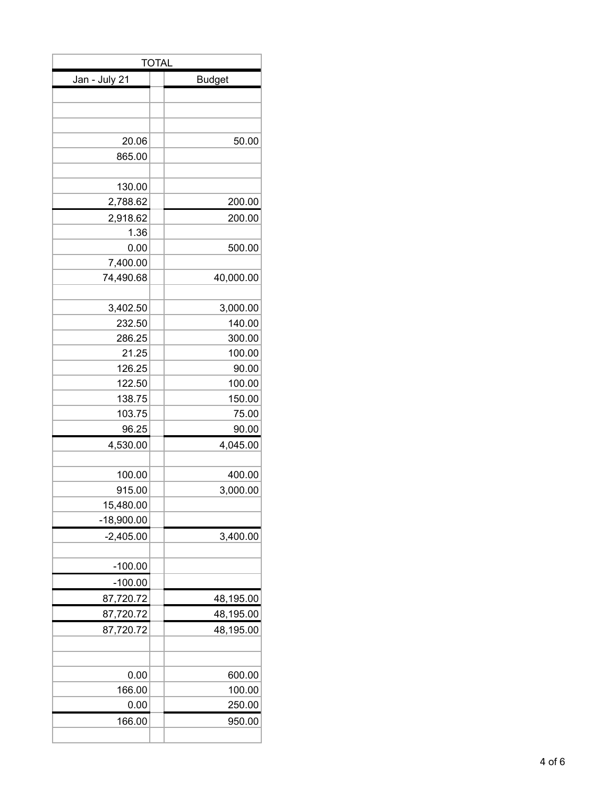| <b>TOTAL</b>  |               |  |  |  |
|---------------|---------------|--|--|--|
| Jan - July 21 | <b>Budget</b> |  |  |  |
|               |               |  |  |  |
|               |               |  |  |  |
|               |               |  |  |  |
| 20.06         | 50.00         |  |  |  |
| 865.00        |               |  |  |  |
|               |               |  |  |  |
| 130.00        |               |  |  |  |
| 2,788.62      | 200.00        |  |  |  |
| 2,918.62      | 200.00        |  |  |  |
| 1.36          |               |  |  |  |
| 0.00          | 500.00        |  |  |  |
| 7,400.00      |               |  |  |  |
| 74,490.68     | 40,000.00     |  |  |  |
|               |               |  |  |  |
| 3,402.50      | 3,000.00      |  |  |  |
| 232.50        | 140.00        |  |  |  |
| 286.25        | 300.00        |  |  |  |
| 21.25         | 100.00        |  |  |  |
| 126.25        | 90.00         |  |  |  |
| 122.50        | 100.00        |  |  |  |
| 138.75        | 150.00        |  |  |  |
| 103.75        | 75.00         |  |  |  |
| 96.25         | 90.00         |  |  |  |
| 4,530.00      | 4,045.00      |  |  |  |
|               |               |  |  |  |
| 100.00        | 400.00        |  |  |  |
| 915.00        | 3,000.00      |  |  |  |
| 15,480.00     |               |  |  |  |
| $-18,900.00$  |               |  |  |  |
| $-2,405.00$   | 3,400.00      |  |  |  |
|               |               |  |  |  |
| $-100.00$     |               |  |  |  |
| $-100.00$     |               |  |  |  |
| 87,720.72     | 48,195.00     |  |  |  |
| 87,720.72     | 48,195.00     |  |  |  |
| 87,720.72     | 48,195.00     |  |  |  |
|               |               |  |  |  |
|               |               |  |  |  |
| 0.00          | 600.00        |  |  |  |
| 166.00        | 100.00        |  |  |  |
| 0.00          | 250.00        |  |  |  |
| 166.00        | 950.00        |  |  |  |
|               |               |  |  |  |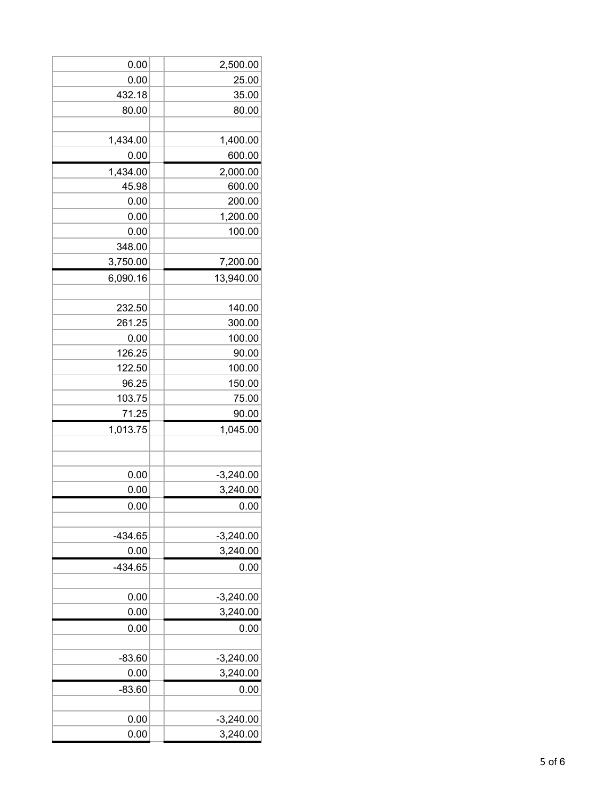| 0.00      | 2,500.00    |
|-----------|-------------|
| 0.00      | 25.00       |
| 432.18    | 35.00       |
| 80.00     | 80.00       |
|           |             |
| 1,434.00  | 1,400.00    |
| 0.00      | 600.00      |
| 1,434.00  | 2,000.00    |
| 45.98     | 600.00      |
| 0.00      | 200.00      |
| 0.00      | 1,200.00    |
| 0.00      | 100.00      |
| 348.00    |             |
| 3,750.00  | 7,200.00    |
| 6,090.16  | 13,940.00   |
|           |             |
| 232.50    | 140.00      |
| 261.25    | 300.00      |
| 0.00      | 100.00      |
| 126.25    | 90.00       |
| 122.50    | 100.00      |
| 96.25     | 150.00      |
| 103.75    | 75.00       |
| 71.25     | 90.00       |
| 1,013.75  | 1,045.00    |
|           |             |
|           |             |
| 0.00      | $-3,240.00$ |
| 0.00      | 3,240.00    |
| 0.00      | 0.00        |
|           |             |
| $-434.65$ | $-3,240.00$ |
| 0.00      | 3,240.00    |
| $-434.65$ | 0.00        |
|           |             |
| 0.00      | $-3,240.00$ |
| 0.00      | 3,240.00    |
| 0.00      | 0.00        |
|           |             |
| $-83.60$  | $-3,240.00$ |
| 0.00      | 3,240.00    |
| $-83.60$  | 0.00        |
|           |             |
| 0.00      | $-3,240.00$ |
| 0.00      | 3,240.00    |